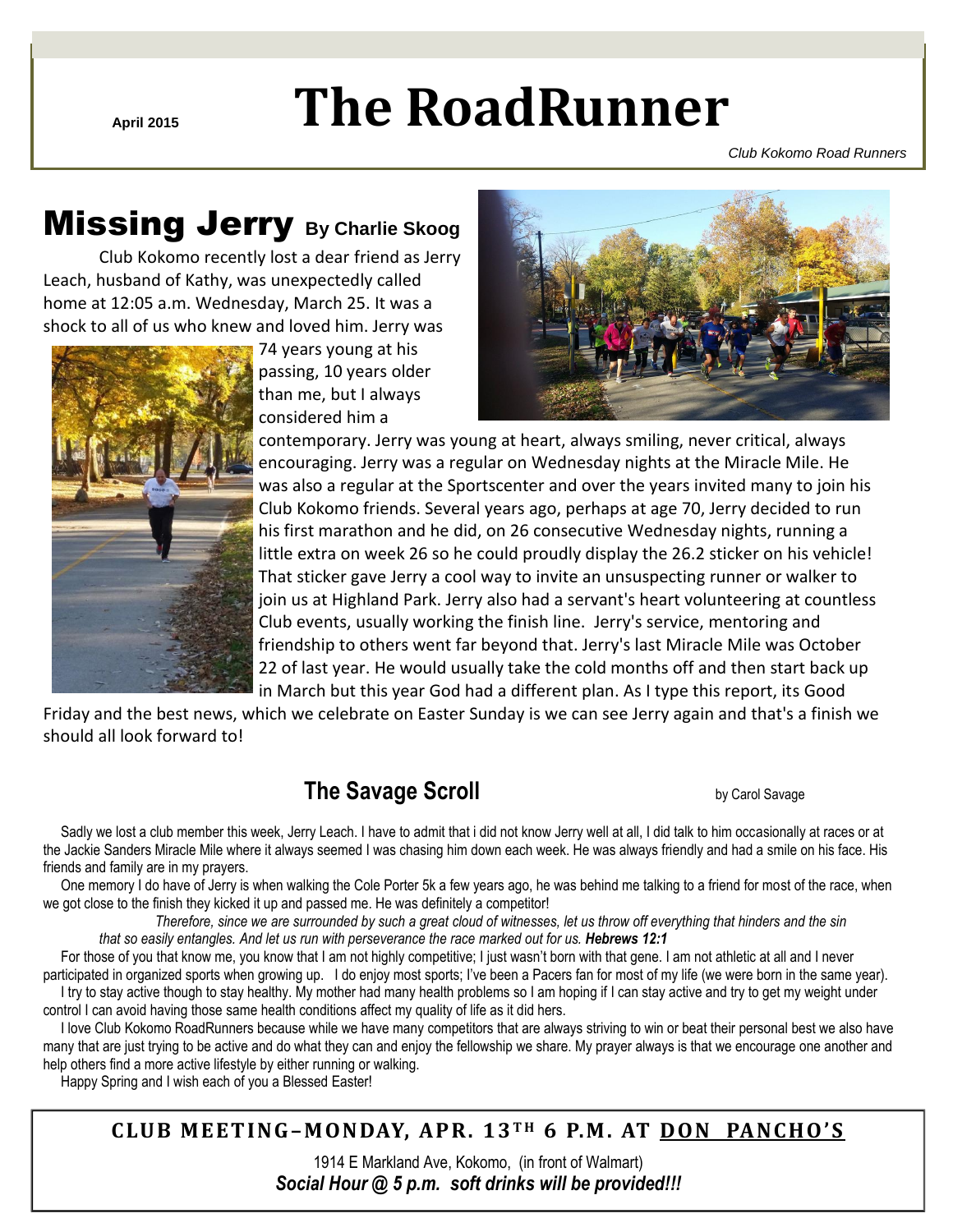# **April 2015 The RoadRunner**

*Club Kokomo Road Runners*

# Missing Jerry **By Charlie Skoog**

Club Kokomo recently lost a dear friend as Jerry Leach, husband of Kathy, was unexpectedly called home at 12:05 a.m. Wednesday, March 25. It was a shock to all of us who knew and loved him. Jerry was



 74 years young at his passing, 10 years older than me, but I always considered him a



contemporary. Jerry was young at heart, always smiling, never critical, always encouraging. Jerry was a regular on Wednesday nights at the Miracle Mile. He was also a regular at the Sportscenter and over the years invited many to join his Club Kokomo friends. Several years ago, perhaps at age 70, Jerry decided to run his first marathon and he did, on 26 consecutive Wednesday nights, running a little extra on week 26 so he could proudly display the 26.2 sticker on his vehicle! That sticker gave Jerry a cool way to invite an unsuspecting runner or walker to join us at Highland Park. Jerry also had a servant's heart volunteering at countless Club events, usually working the finish line. Jerry's service, mentoring and friendship to others went far beyond that. Jerry's last Miracle Mile was October 22 of last year. He would usually take the cold months off and then start back up in March but this year God had a different plan. As I type this report, its Good

Friday and the best news, which we celebrate on Easter Sunday is we can see Jerry again and that's a finish we should all look forward to!

# **The Savage Scroll Savage Scroll Carol Savage Scroll Savage Scroll Savage Scroll Savage Scroll Savage Scroll Savage**

 Sadly we lost a club member this week, Jerry Leach. I have to admit that i did not know Jerry well at all, I did talk to him occasionally at races or at the Jackie Sanders Miracle Mile where it always seemed I was chasing him down each week. He was always friendly and had a smile on his face. His friends and family are in my prayers.

 One memory I do have of Jerry is when walking the Cole Porter 5k a few years ago, he was behind me talking to a friend for most of the race, when we got close to the finish they kicked it up and passed me. He was definitely a competitor!

Therefore, since we are surrounded by such a great cloud of witnesses, let us throw off everything that hinders and the sin that so easily entangles. And let us run with perseverance the race marked out for us. Hebrews 12:1

 For those of you that know me, you know that I am not highly competitive; I just wasn't born with that gene. I am not athletic at all and I never participated in organized sports when growing up. I do enjoy most sports; I've been a Pacers fan for most of my life (we were born in the same year). I try to stay active though to stay healthy. My mother had many health problems so I am hoping if I can stay active and try to get my weight under control I can avoid having those same health conditions affect my quality of life as it did hers.

 I love Club Kokomo RoadRunners because while we have many competitors that are always striving to win or beat their personal best we also have many that are just trying to be active and do what they can and enjoy the fellowship we share. My prayer always is that we encourage one another and help others find a more active lifestyle by either running or walking.

Happy Spring and I wish each of you a Blessed Easter!

**C LUB MEET ING–M ONDAY, AP R. 13 T H 6 P.M . AT DON PANCHO 'S**

1914 E Markland Ave, Kokomo, (in front of Walmart) *Social Hour @ 5 p.m. soft drinks will be provided!!!*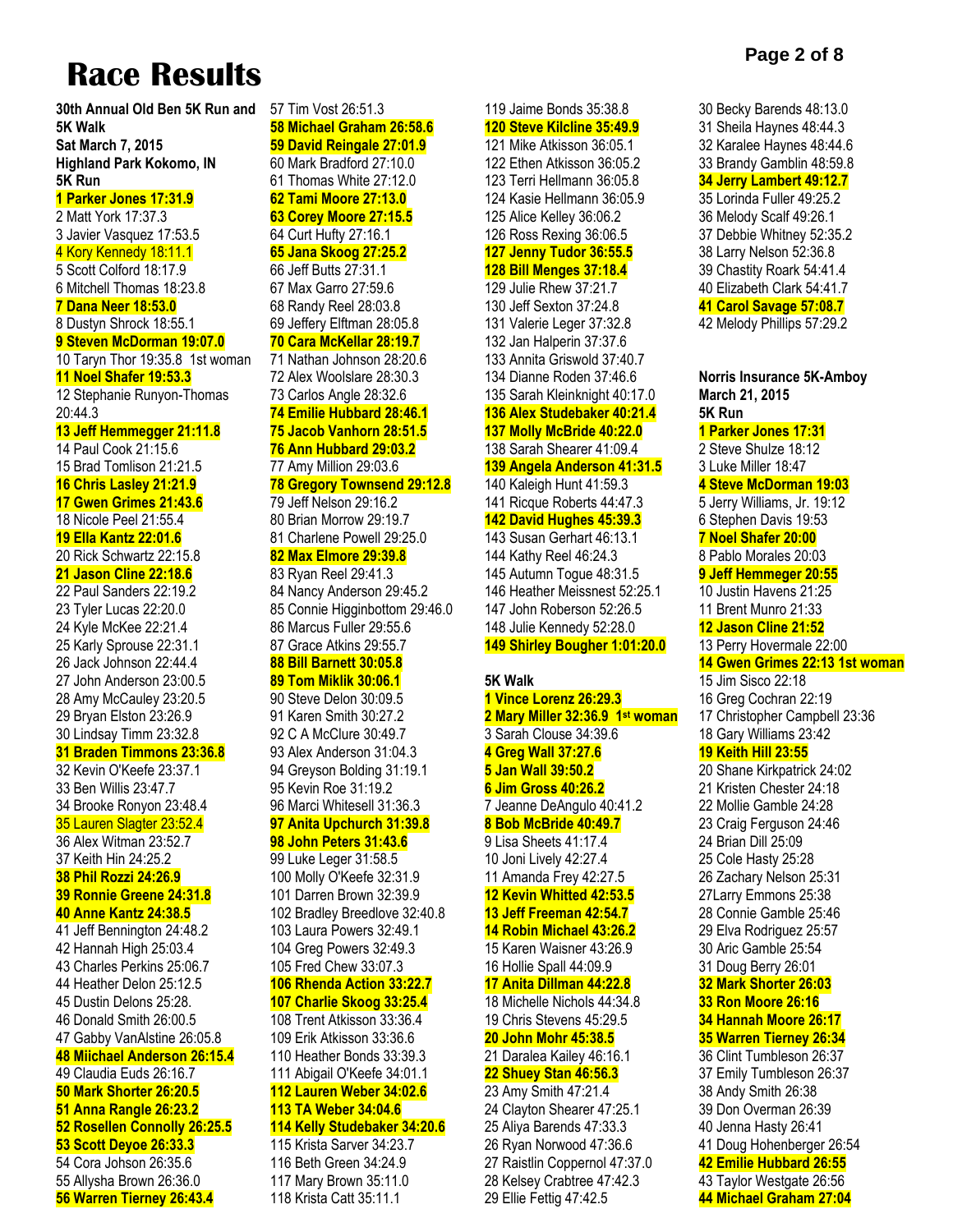# **Race Results**

**30th Annual Old Ben 5K Run and 5K Walk Sat March 7, 2015 Highland Park Kokomo, IN 5K Run 1 Parker Jones 17:31.9** 2 Matt York 17:37.3 3 Javier Vasquez 17:53.5 4 Kory Kennedy 18:11.1 5 Scott Colford 18:17.9 6 Mitchell Thomas 18:23.8 **7 Dana Neer 18:53.0** 8 Dustyn Shrock 18:55.1 **9 Steven McDorman 19:07.0** 10 Taryn Thor 19:35.8 1st woman **11 Noel Shafer 19:53.3** 12 Stephanie Runyon-Thomas 20:44.3 **13 Jeff Hemmegger 21:11.8** 14 Paul Cook 21:15.6 15 Brad Tomlison 21:21.5 **16 Chris Lasley 21:21.9 17 Gwen Grimes 21:43.6** 18 Nicole Peel 21:55.4 **19 Ella Kantz 22:01.6** 20 Rick Schwartz 22:15.8 **21 Jason Cline 22:18.6** 22 Paul Sanders 22:19.2 23 Tyler Lucas 22:20.0 24 Kyle McKee 22:21.4 25 Karly Sprouse 22:31.1 26 Jack Johnson 22:44.4 27 John Anderson 23:00.5 28 Amy McCauley 23:20.5 29 Bryan Elston 23:26.9 30 Lindsay Timm 23:32.8 **31 Braden Timmons 23:36.8** 32 Kevin O'Keefe 23:37.1 33 Ben Willis 23:47.7 34 Brooke Ronyon 23:48.4 35 Lauren Slagter 23:52.4 36 Alex Witman 23:52.7 37 Keith Hin 24:25.2 **38 Phil Rozzi 24:26.9 39 Ronnie Greene 24:31.8 40 Anne Kantz 24:38.5** 41 Jeff Bennington 24:48.2 42 Hannah High 25:03.4 43 Charles Perkins 25:06.7 44 Heather Delon 25:12.5 45 Dustin Delons 25:28. 46 Donald Smith 26:00.5 47 Gabby VanAlstine 26:05.8 **48 Miichael Anderson 26:15.4** 49 Claudia Euds 26:16.7 **50 Mark Shorter 26:20.5 51 Anna Rangle 26:23.2 52 Rosellen Connolly 26:25.5 53 Scott Deyoe 26:33.3** 54 Cora Johson 26:35.6

55 Allysha Brown 26:36.0 **56 Warren Tierney 26:43.4** 57 Tim Vost 26:51.3 **58 Michael Graham 26:58.6 59 David Reingale 27:01.9** 60 Mark Bradford 27:10.0 61 Thomas White 27:12.0 **62 Tami Moore 27:13.0 63 Corey Moore 27:15.5** 64 Curt Hufty 27:16.1 **65 Jana Skoog 27:25.2** 66 Jeff Butts 27:31.1 67 Max Garro 27:59.6 68 Randy Reel 28:03.8 69 Jeffery Elftman 28:05.8 **70 Cara McKellar 28:19.7** 71 Nathan Johnson 28:20.6 72 Alex Woolslare 28:30.3 73 Carlos Angle 28:32.6 **74 Emilie Hubbard 28:46.1 75 Jacob Vanhorn 28:51.5 76 Ann Hubbard 29:03.2** 77 Amy Million 29:03.6 **78 Gregory Townsend 29:12.8** 79 Jeff Nelson 29:16.2 80 Brian Morrow 29:19.7 81 Charlene Powell 29:25.0 **82 Max Elmore 29:39.8** 83 Ryan Reel 29:41.3 84 Nancy Anderson 29:45.2 85 Connie Higginbottom 29:46.0 86 Marcus Fuller 29:55.6 87 Grace Atkins 29:55.7 **88 Bill Barnett 30:05.8 89 Tom Miklik 30:06.1** 90 Steve Delon 30:09.5 91 Karen Smith 30:27.2 92 C A McClure 30:49.7 93 Alex Anderson 31:04.3 94 Greyson Bolding 31:19.1 95 Kevin Roe 31:19.2 96 Marci Whitesell 31:36.3 **97 Anita Upchurch 31:39.8 98 John Peters 31:43.6** 99 Luke Leger 31:58.5 100 Molly O'Keefe 32:31.9 101 Darren Brown 32:39.9 102 Bradley Breedlove 32:40.8 103 Laura Powers 32:49.1 104 Greg Powers 32:49.3 105 Fred Chew 33:07.3 **106 Rhenda Action 33:22.7 107 Charlie Skoog 33:25.4** 108 Trent Atkisson 33:36.4 109 Erik Atkisson 33:36.6 110 Heather Bonds 33:39.3 111 Abigail O'Keefe 34:01.1 **112 Lauren Weber 34:02.6 113 TA Weber 34:04.6 114 Kelly Studebaker 34:20.6** 115 Krista Sarver 34:23.7 116 Beth Green 34:24.9 117 Mary Brown 35:11.0

118 Krista Catt 35:11.1

#### 119 Jaime Bonds 35:38.8 **120 Steve Kilcline 35:49.9** 121 Mike Atkisson 36:05.1 122 Ethen Atkisson 36:05.2 123 Terri Hellmann 36:05.8 124 Kasie Hellmann 36:05.9 125 Alice Kelley 36:06.2 126 Ross Rexing 36:06.5 **127 Jenny Tudor 36:55.5 128 Bill Menges 37:18.4** 129 Julie Rhew 37:21.7 130 Jeff Sexton 37:24.8

131 Valerie Leger 37:32.8 132 Jan Halperin 37:37.6 133 Annita Griswold 37:40.7 134 Dianne Roden 37:46.6 135 Sarah Kleinknight 40:17.0 **136 Alex Studebaker 40:21.4 137 Molly McBride 40:22.0** 138 Sarah Shearer 41:09.4 **139 Angela Anderson 41:31.5** 140 Kaleigh Hunt 41:59.3 141 Ricque Roberts 44:47.3 **142 David Hughes 45:39.3** 143 Susan Gerhart 46:13.1 144 Kathy Reel 46:24.3 145 Autumn Togue 48:31.5 146 Heather Meissnest 52:25.1 147 John Roberson 52:26.5 148 Julie Kennedy 52:28.0

#### **149 Shirley Bougher 1:01:20.0**

#### **5K Walk**

**1 Vince Lorenz 26:29.3 2 Mary Miller 32:36.9 1 st woman** 3 Sarah Clouse 34:39.6 **4 Greg Wall 37:27.6 5 Jan Wall 39:50.2 6 Jim Gross 40:26.2** 7 Jeanne DeAngulo 40:41.2 **8 Bob McBride 40:49.7** 9 Lisa Sheets 41:17.4 10 Joni Lively 42:27.4 11 Amanda Frey 42:27.5 **12 Kevin Whitted 42:53.5 13 Jeff Freeman 42:54.7 14 Robin Michael 43:26.2** 15 Karen Waisner 43:26.9 16 Hollie Spall 44:09.9 **17 Anita Dillman 44:22.8** 18 Michelle Nichols 44:34.8 19 Chris Stevens 45:29.5 **20 John Mohr 45:38.5** 21 Daralea Kailey 46:16.1 **22 Shuey Stan 46:56.3** 23 Amy Smith 47:21.4 24 Clayton Shearer 47:25.1 25 Aliya Barends 47:33.3 26 Ryan Norwood 47:36.6 27 Raistlin Coppernol 47:37.0 28 Kelsey Crabtree 47:42.3 29 Ellie Fettig 47:42.5

30 Becky Barends 48:13.0 31 Sheila Haynes 48:44.3 32 Karalee Haynes 48:44.6 33 Brandy Gamblin 48:59.8 **34 Jerry Lambert 49:12.7** 35 Lorinda Fuller 49:25.2 36 Melody Scalf 49:26.1 37 Debbie Whitney 52:35.2 38 Larry Nelson 52:36.8 39 Chastity Roark 54:41.4 40 Elizabeth Clark 54:41.7 **41 Carol Savage 57:08.7** 42 Melody Phillips 57:29.2

**Norris Insurance 5K-Amboy March 21, 2015 5K Run 1 Parker Jones 17:31** 2 Steve Shulze 18:12 3 Luke Miller 18:47 **4 Steve McDorman 19:03** 5 Jerry Williams, Jr. 19:12 6 Stephen Davis 19:53 **7 Noel Shafer 20:00** 8 Pablo Morales 20:03 **9 Jeff Hemmeger 20:55** 10 Justin Havens 21:25 11 Brent Munro 21:33 **12 Jason Cline 21:52** 13 Perry Hovermale 22:00 **14 Gwen Grimes 22:13 1st woman** 15 Jim Sisco 22:18 16 Greg Cochran 22:19 17 Christopher Campbell 23:36 18 Gary Williams 23:42 **19 Keith Hill 23:55** 20 Shane Kirkpatrick 24:02 21 Kristen Chester 24:18 22 Mollie Gamble 24:28 23 Craig Ferguson 24:46 24 Brian Dill 25:09 25 Cole Hasty 25:28 26 Zachary Nelson 25:31 27Larry Emmons 25:38 28 Connie Gamble 25:46 29 Elva Rodriguez 25:57 30 Aric Gamble 25:54 31 Doug Berry 26:01 **32 Mark Shorter 26:03 33 Ron Moore 26:16 34 Hannah Moore 26:17 35 Warren Tierney 26:34** 36 Clint Tumbleson 26:37 37 Emily Tumbleson 26:37 38 Andy Smith 26:38 39 Don Overman 26:39 40 Jenna Hasty 26:41 41 Doug Hohenberger 26:54 **42 Emilie Hubbard 26:55**

43 Taylor Westgate 26:56 **44 Michael Graham 27:04**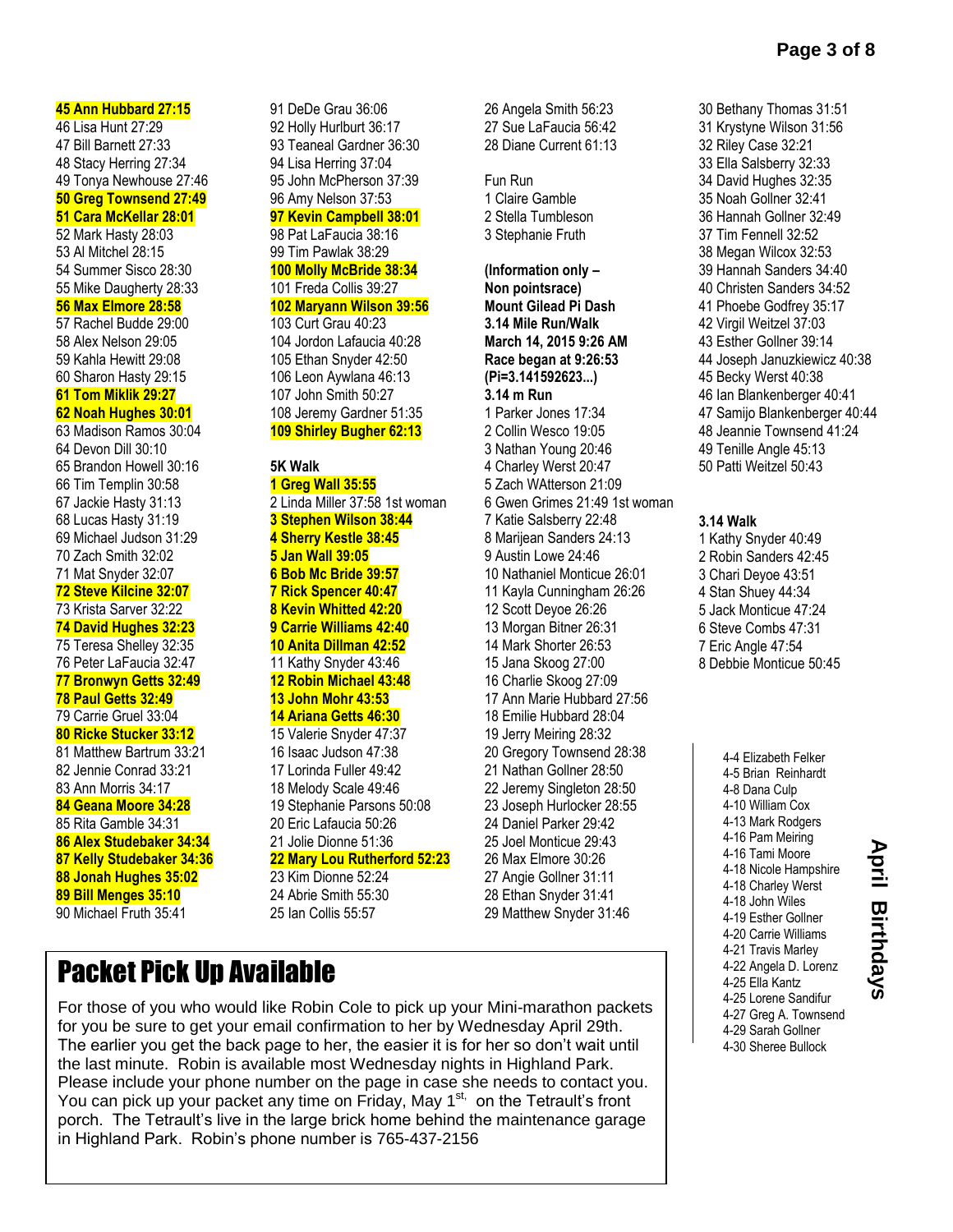47 Bill Barnett 27:33 48 Stacy Herring 27:34 49 Tonya Newhouse 27:46 **50 Greg Townsend 27:49 51 Cara McKellar 28:01** 52 Mark Hasty 28:03 53 Al Mitchel 28:15 54 Summer Sisco 28:30 55 Mike Daugherty 28:33 **56 Max Elmore 28:58** 57 Rachel Budde 29:00 58 Alex Nelson 29:05 59 Kahla Hewitt 29:08 60 Sharon Hasty 29:15 **61 Tom Miklik 29:27 62 Noah Hughes 30:01** 63 Madison Ramos 30:04 64 Devon Dill 30:10 65 Brandon Howell 30:16 66 Tim Templin 30:58 67 Jackie Hasty 31:13 68 Lucas Hasty 31:19 69 Michael Judson 31:29 70 Zach Smith 32:02 71 Mat Snyder 32:07 **72 Steve Kilcine 32:07** 73 Krista Sarver 32:22 **74 David Hughes 32:23** 75 Teresa Shelley 32:35 76 Peter LaFaucia 32:47 **77 Bronwyn Getts 32:49 78 Paul Getts 32:49** 79 Carrie Gruel 33:04 **80 Ricke Stucker 33:12** 81 Matthew Bartrum 33:21 82 Jennie Conrad 33:21 83 Ann Morris 34:17 **84 Geana Moore 34:28** 85 Rita Gamble 34:31 **86 Alex Studebaker 34:34 87 Kelly Studebaker 34:36 88 Jonah Hughes 35:02 89 Bill Menges 35:10** 90 Michael Fruth 35:41

**45 Ann Hubbard 27:15** 46 Lisa Hunt 27:29

91 DeDe Grau 36:06 92 Holly Hurlburt 36:17 93 Teaneal Gardner 36:30 94 Lisa Herring 37:04 95 John McPherson 37:39 96 Amy Nelson 37:53 **97 Kevin Campbell 38:01** 98 Pat LaFaucia 38:16 99 Tim Pawlak 38:29 **100 Molly McBride 38:34** 101 Freda Collis 39:27 **102 Maryann Wilson 39:56** 103 Curt Grau 40:23 104 Jordon Lafaucia 40:28 105 Ethan Snyder 42:50 106 Leon Aywlana 46:13 107 John Smith 50:27 108 Jeremy Gardner 51:35 **109 Shirley Bugher 62:13 5K Walk 1 Greg Wall 35:55** 2 Linda Miller 37:58 1st woman **3 Stephen Wilson 38:44 4 Sherry Kestle 38:45 5 Jan Wall 39:05 6 Bob Mc Bride 39:57 7 Rick Spencer 40:47 8 Kevin Whitted 42:20 9 Carrie Williams 42:40 10 Anita Dillman 42:52** 11 Kathy Snyder 43:46 **12 Robin Michael 43:48**

#### **13 John Mohr 43:53 14 Ariana Getts 46:30**

15 Valerie Snyder 47:37 16 Isaac Judson 47:38 17 Lorinda Fuller 49:42 18 Melody Scale 49:46 19 Stephanie Parsons 50:08 20 Eric Lafaucia 50:26 21 Jolie Dionne 51:36

#### **22 Mary Lou Rutherford 52:23**

23 Kim Dionne 52:24 24 Abrie Smith 55:30 25 Ian Collis 55:57

26 Angela Smith 56:23 27 Sue LaFaucia 56:42 28 Diane Current 61:13

Fun Run 1 Claire Gamble 2 Stella Tumbleson 3 Stephanie Fruth

**(Information only – Non pointsrace) Mount Gilead Pi Dash 3.14 Mile Run/Walk March 14, 2015 9:26 AM Race began at 9:26:53 (Pi=3.141592623...) 3.14 m Run** 1 Parker Jones 17:34 2 Collin Wesco 19:05 3 Nathan Young 20:46 4 Charley Werst 20:47 5 Zach WAtterson 21:09 6 Gwen Grimes 21:49 1st woman 7 Katie Salsberry 22:48 8 Marijean Sanders 24:13 9 Austin Lowe 24:46 10 Nathaniel Monticue 26:01 11 Kayla Cunningham 26:26 12 Scott Deyoe 26:26 13 Morgan Bitner 26:31 14 Mark Shorter 26:53 15 Jana Skoog 27:00 16 Charlie Skoog 27:09 17 Ann Marie Hubbard 27:56 18 Emilie Hubbard 28:04 19 Jerry Meiring 28:32 20 Gregory Townsend 28:38 21 Nathan Gollner 28:50 22 Jeremy Singleton 28:50 23 Joseph Hurlocker 28:55 24 Daniel Parker 29:42 25 Joel Monticue 29:43 26 Max Elmore 30:26 27 Angie Gollner 31:11 28 Ethan Snyder 31:41 29 Matthew Snyder 31:46

30 Bethany Thomas 31:51 31 Krystyne Wilson 31:56 32 Riley Case 32:21 33 Ella Salsberry 32:33 34 David Hughes 32:35 35 Noah Gollner 32:41 36 Hannah Gollner 32:49 37 Tim Fennell 32:52 38 Megan Wilcox 32:53 39 Hannah Sanders 34:40 40 Christen Sanders 34:52 41 Phoebe Godfrey 35:17 42 Virgil Weitzel 37:03 43 Esther Gollner 39:14 44 Joseph Januzkiewicz 40:38 45 Becky Werst 40:38 46 Ian Blankenberger 40:41 47 Samijo Blankenberger 40:44 48 Jeannie Townsend 41:24 49 Tenille Angle 45:13 50 Patti Weitzel 50:43

#### **3.14 Walk**

1 Kathy Snyder 40:49 2 Robin Sanders 42:45 3 Chari Deyoe 43:51 4 Stan Shuey 44:34 5 Jack Monticue 47:24 6 Steve Combs 47:31 7 Eric Angle 47:54 8 Debbie Monticue 50:45

> 4-4 Elizabeth Felker 4-5 Brian Reinhardt 4-8 Dana Culp 4-10 William Cox 4-13 Mark Rodgers 4-16 Pam Meiring 4-16 Tami Moore 4-18 Nicole Hampshire 4-18 Charley Werst 4-18 John Wiles 4-19 Esther Gollner 4-20 Carrie Williams 4-21 Travis Marley 4-22 Angela D. Lorenz 4-25 Ella Kantz 4-25 Lorene Sandifur 4-27 Greg A. Townsend 4-29 Sarah Gollner 4-30 Sheree Bullock

Packet Pick Up Available

For those of you who would like Robin Cole to pick up your Mini-marathon packets for you be sure to get your email confirmation to her by Wednesday April 29th. The earlier you get the back page to her, the easier it is for her so don't wait until the last minute. Robin is available most Wednesday nights in Highland Park. Please include your phone number on the page in case she needs to contact you. You can pick up your packet any time on Friday, May 1<sup>st,</sup> on the Tetrault's front porch. The Tetrault's live in the large brick home behind the maintenance garage in Highland Park. Robin's phone number is 765-437-2156

**April Birthdays**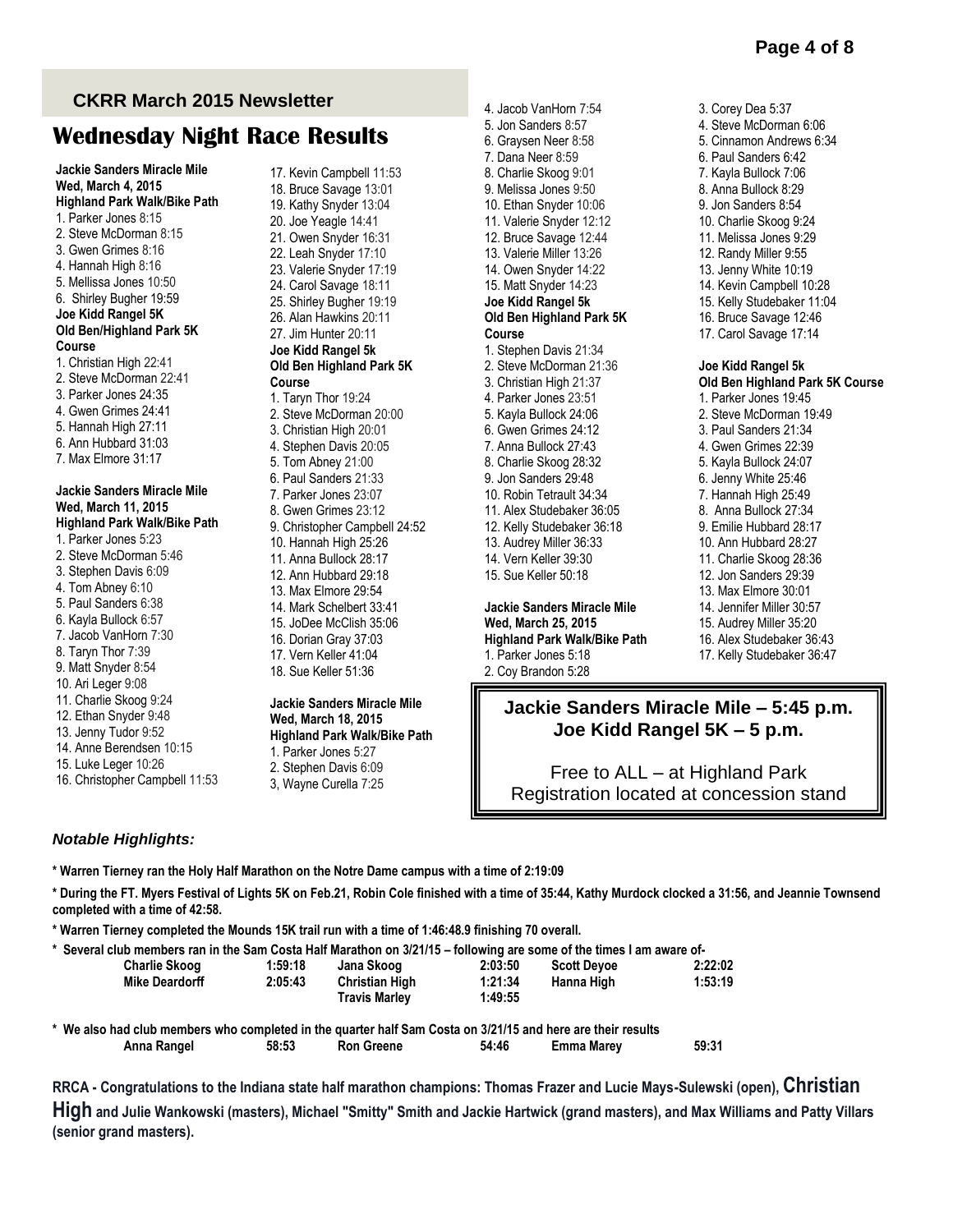3. Corey Dea 5:37

#### **CKRR March 2015 Newsletter**

# **Wednesday Night Race Results**

**Jackie Sanders Miracle Mile Wed, March 4, 2015 Highland Park Walk/Bike Path** 1. Parker Jones 8:15 2. Steve McDorman 8:15 3. Gwen Grimes 8:16 4. Hannah High 8:16 5. Mellissa Jones 10:50 6. Shirley Bugher 19:59 **Joe Kidd Rangel 5K Old Ben/Highland Park 5K Course**  1. Christian High 22:41 2. Steve McDorman 22:41 3. Parker Jones 24:35 4. Gwen Grimes 24:41 5. Hannah High 27:11 6. Ann Hubbard 31:03 7. Max Elmore 31:17 **Jackie Sanders Miracle Mile Wed, March 11, 2015 Highland Park Walk/Bike Path**  1. Parker Jones 5:23 2. Steve McDorman 5:46 3. Stephen Davis 6:09 4. Tom Abney 6:10 5. Paul Sanders 6:38 6. Kayla Bullock 6:57 7. Jacob VanHorn 7:30 8. Taryn Thor 7:39 9. Matt Snyder 8:54 10. Ari Leger 9:08 11. Charlie Skoog 9:24 12. Ethan Snyder 9:48 13. Jenny Tudor 9:52 14. Anne Berendsen 10:15 15. Luke Leger 10:26 16. Christopher Campbell 11:53 17. Kevin Campbell 11:53 18. Bruce Savage 13:01 19. Kathy Snyder 13:04 20. Joe Yeagle 14:41 21. Owen Snyder 16:31 22. Leah Snyder 17:10 23. Valerie Snyder 17:19 24. Carol Savage 18:11 25. Shirley Bugher 19:19 26. Alan Hawkins 20:11 27. Jim Hunter 20:11 **Joe Kidd Rangel 5k Old Ben Highland Park 5K Course** 1. Taryn Thor 19:24 2. Steve McDorman 20:00 3. Christian High 20:01 4. Stephen Davis 20:05 5. Tom Abney 21:00 6. Paul Sanders 21:33 7. Parker Jones 23:07 8. Gwen Grimes 23:12 9. Christopher Campbell 24:52 10. Hannah High 25:26 11. Anna Bullock 28:17 12. Ann Hubbard 29:18 13. Max Elmore 29:54 14. Mark Schelbert 33:41 15. JoDee McClish 35:06 16. Dorian Gray 37:03 17. Vern Keller 41:04 18. Sue Keller 51:36

#### **Jackie Sanders Miracle Mile Wed, March 18, 2015 Highland Park Walk/Bike Path**  1. Parker Jones 5:27 2. Stephen Davis 6:09

3, Wayne Curella 7:25

5. Jon Sanders 8:57 6. Graysen Neer 8:58 7. Dana Neer 8:59 8. Charlie Skoog 9:01 9. Melissa Jones 9:50 10. Ethan Snyder 10:06 11. Valerie Snyder 12:12 12. Bruce Savage 12:44 13. Valerie Miller 13:26 14. Owen Snyder 14:22 15. Matt Snyder 14:23 **Joe Kidd Rangel 5k Old Ben Highland Park 5K Course**  1. Stephen Davis 21:34 2. Steve McDorman 21:36 3. Christian High 21:37 4. Parker Jones 23:51 5. Kayla Bullock 24:06 6. Gwen Grimes 24:12 7. Anna Bullock 27:43 8. Charlie Skoog 28:32 9. Jon Sanders 29:48 10. Robin Tetrault 34:34 11. Alex Studebaker 36:05 12. Kelly Studebaker 36:18 13. Audrey Miller 36:33 14. Vern Keller 39:30 15. Sue Keller 50:18

4. Jacob VanHorn 7:54

**Jackie Sanders Miracle Mile Wed, March 25, 2015 Highland Park Walk/Bike Path**  1. Parker Jones 5:18 2. Coy Brandon 5:28

4. Steve McDorman 6:06 5. Cinnamon Andrews 6:34 6. Paul Sanders 6:42 7. Kayla Bullock 7:06 8. Anna Bullock 8:29 9. Jon Sanders 8:54 10. Charlie Skoog 9:24 11. Melissa Jones 9:29 12. Randy Miller 9:55 13. Jenny White 10:19 14. Kevin Campbell 10:28 15. Kelly Studebaker 11:04 16. Bruce Savage 12:46 17. Carol Savage 17:14 **Joe Kidd Rangel 5k Old Ben Highland Park 5K Course**  1. Parker Jones 19:45 2. Steve McDorman 19:49 3. Paul Sanders 21:34 4. Gwen Grimes 22:39 5. Kayla Bullock 24:07 6. Jenny White 25:46 7. Hannah High 25:49 8. Anna Bullock 27:34 9. Emilie Hubbard 28:17 10. Ann Hubbard 28:27 11. Charlie Skoog 28:36 12. Jon Sanders 29:39 13. Max Elmore 30:01 14. Jennifer Miller 30:57 15. Audrey Miller 35:20 16. Alex Studebaker 36:43 17. Kelly Studebaker 36:47

#### **Jackie Sanders Miracle Mile – 5:45 p.m. Joe Kidd Rangel 5K – 5 p.m.**

Free to ALL – at Highland Park Registration located at concession stand

#### *Notable Highlights:*

**\* Warren Tierney ran the Holy Half Marathon on the Notre Dame campus with a time of 2:19:09**

**\* During the FT. Myers Festival of Lights 5K on Feb.21, Robin Cole finished with a time of 35:44, Kathy Murdock clocked a 31:56, and Jeannie Townsend completed with a time of 42:58.**

**\* Warren Tierney completed the Mounds 15K trail run with a time of 1:46:48.9 finishing 70 overall.**

| * Several club members ran in the Sam Costa Half Marathon on 3/21/15 - following are some of the times I am aware of- |         |                       |         |                    |         |  |
|-----------------------------------------------------------------------------------------------------------------------|---------|-----------------------|---------|--------------------|---------|--|
| <b>Charlie Skoog</b>                                                                                                  | 1:59:18 | Jana Skoog            | 2:03:50 | <b>Scott Devoe</b> | 2:22:02 |  |
| Mike Deardorff                                                                                                        | 2:05:43 | <b>Christian High</b> | 1:21:34 | Hanna High         | 1:53:19 |  |
|                                                                                                                       |         | <b>Travis Marlev</b>  | 1:49:55 |                    |         |  |

**\* We also had club members who completed in the quarter half Sam Costa on 3/21/15 and here are their results Anna Rangel 58:53 Ron Greene 54:46 Emma Marey 59:31**

**RRCA - Congratulations to the Indiana state half marathon champions: Thomas Frazer and Lucie Mays-Sulewski (open), Christian** 

**High and Julie Wankowski (masters), Michael "Smitty" Smith and Jackie Hartwick (grand masters), and Max Williams and Patty Villars (senior grand masters).**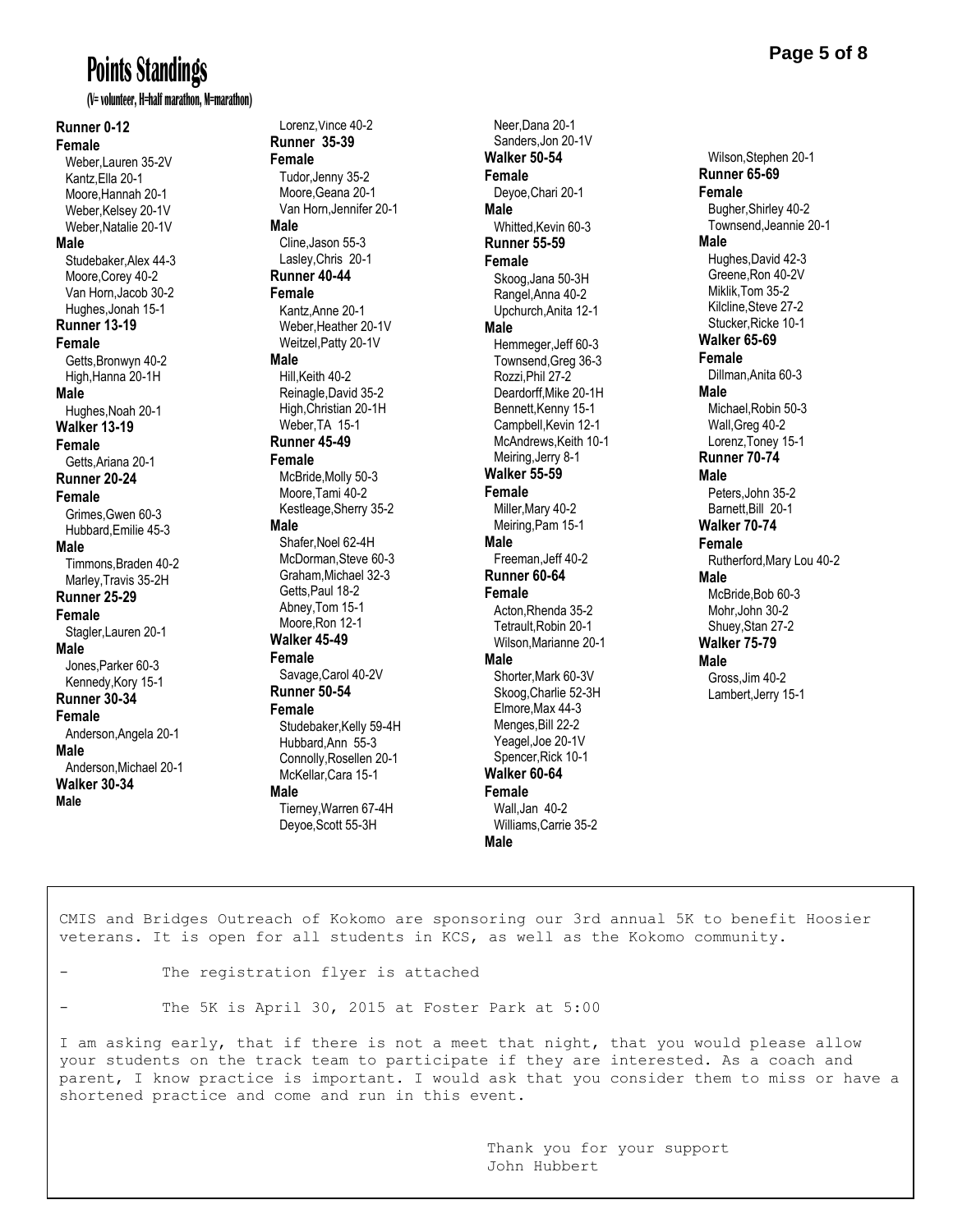# **Points Standings**

**(V= volunteer, H=half marathon, M=marathon)**

**Runner 0-12 Female** Weber,Lauren 35-2V Kantz,Ella 20-1 Moore,Hannah 20-1 Weber, Kelsey 20-1V Weber,Natalie 20-1V **Male** Studebaker,Alex 44-3 Moore,Corey 40-2 Van Horn,Jacob 30-2 Hughes,Jonah 15-1 **Runner 13-19 Female** Getts,Bronwyn 40-2 High,Hanna 20-1H **Male** Hughes,Noah 20-1 **Walker 13-19 Female** Getts,Ariana 20-1 **Runner 20-24 Female** Grimes,Gwen 60-3 Hubbard,Emilie 45-3 **Male** Timmons,Braden 40-2 Marley,Travis 35-2H **Runner 25-29 Female** Stagler,Lauren 20-1 **Male** Jones,Parker 60-3 Kennedy,Kory 15-1 **Runner 30-34 Female** Anderson,Angela 20-1 **Male** Anderson,Michael 20-1 **Walker 30-34 Male**

Lorenz Vince 40-2 **Runner 35-39 Female** Tudor,Jenny 35-2 Moore,Geana 20-1 Van Horn,Jennifer 20-1 **Male** Cline,Jason 55-3 Lasley,Chris 20-1 **Runner 40-44 Female** Kantz,Anne 20-1 Weber,Heather 20-1V Weitzel,Patty 20-1V **Male** Hill,Keith 40-2 Reinagle,David 35-2 High,Christian 20-1H Weber,TA 15-1 **Runner 45-49 Female** McBride,Molly 50-3 Moore,Tami 40-2 Kestleage,Sherry 35-2 **Male** Shafer,Noel 62-4H McDorman,Steve 60-3 Graham,Michael 32-3 Getts,Paul 18-2 Abney,Tom 15-1 Moore,Ron 12-1 **Walker 45-49 Female** Savage,Carol 40-2V **Runner 50-54 Female** Studebaker, Kelly 59-4H Hubbard,Ann 55-3 Connolly,Rosellen 20-1 McKellar,Cara 15-1 **Male** Tierney,Warren 67-4H Deyoe,Scott 55-3H

Neer Dana 20-1 Sanders,Jon 20-1V **Walker 50-54 Female** Deyoe,Chari 20-1 **Male** Whitted, Kevin 60-3 **Runner 55-59 Female** Skoog,Jana 50-3H Rangel,Anna 40-2 Upchurch,Anita 12-1 **Male** Hemmeger,Jeff 60-3 Townsend,Greg 36-3 Rozzi,Phil 27-2 Deardorff,Mike 20-1H Bennett,Kenny 15-1 Campbell,Kevin 12-1 McAndrews,Keith 10-1 Meiring,Jerry 8-1 **Walker 55-59 Female** Miller,Mary 40-2 Meiring,Pam 15-1 **Male** Freeman,Jeff 40-2 **Runner 60-64 Female** Acton,Rhenda 35-2 Tetrault,Robin 20-1 Wilson,Marianne 20-1 **Male** Shorter,Mark 60-3V Skoog,Charlie 52-3H Elmore,Max 44-3 Menges,Bill 22-2 Yeagel,Joe 20-1V Spencer,Rick 10-1 **Walker 60-64 Female** Wall,Jan 40-2 Williams,Carrie 35-2

**Page 5 of 8**

 Wilson,Stephen 20-1 **Runner 65-69 Female** Bugher,Shirley 40-2 Townsend,Jeannie 20-1 **Male** Hughes,David 42-3 Greene,Ron 40-2V Miklik,Tom 35-2 Kilcline,Steve 27-2 Stucker,Ricke 10-1 **Walker 65-69 Female** Dillman,Anita 60-3 **Male** Michael,Robin 50-3 Wall,Greg 40-2 Lorenz,Toney 15-1 **Runner 70-74 Male** Peters,John 35-2 Barnett,Bill 20-1 **Walker 70-74 Female** Rutherford,Mary Lou 40-2 **Male** McBride,Bob 60-3 Mohr,John 30-2 Shuey,Stan 27-2 **Walker 75-79 Male** Gross,Jim 40-2 Lambert,Jerry 15-1

CMIS and Bridges Outreach of Kokomo are sponsoring our 3rd annual 5K to benefit Hoosier veterans. It is open for all students in KCS, as well as the Kokomo community.

**Male**

- The registration flyer is attached
- The 5K is April 30, 2015 at Foster Park at 5:00

I am asking early, that if there is not a meet that night, that you would please allow your students on the track team to participate if they are interested. As a coach and parent, I know practice is important. I would ask that you consider them to miss or have a shortened practice and come and run in this event.

> Thank you for your support John Hubbert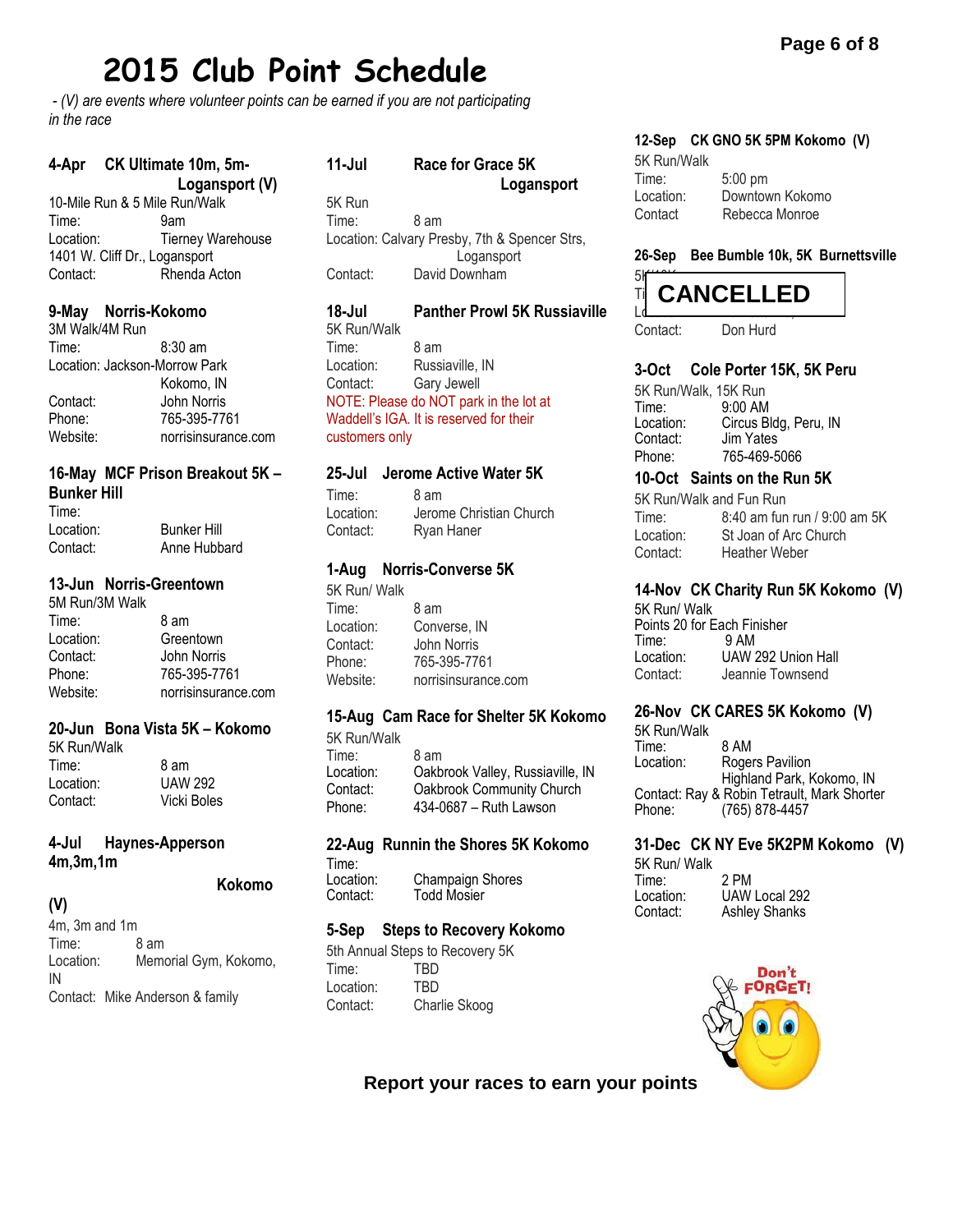# **2015 Club Point Schedule**

*- (V) are events where volunteer points can be earned if you are not participating in the race*

#### **4-Apr CK Ultimate 10m, 5m- Logansport (V)**

10-Mile Run & 5 Mile Run/Walk Time: 9am Location: Tierney Warehouse 1401 W. Cliff Dr., Logansport Contact: Rhenda Acton

#### **9-May Norris-Kokomo**

3M Walk/4M Run Time: 8:30 am Location: Jackson-Morrow Park Kokomo, IN Contact: John Norris Phone: 765-395-7761 Website: norrisinsurance.com

#### **16-May MCF Prison Breakout 5K – Bunker Hill**

| ---------- |                    |
|------------|--------------------|
| Time:      |                    |
| Location:  | <b>Bunker Hill</b> |
| Contact:   | Anne Hubbard       |

#### **13-Jun Norris-Greentown**

5M Run/3M Walk Time: 8 am Location: Greentown Contact: John Norris Phone: 765-395-7761<br>Website: norrisinsuranc norrisinsurance.com

#### **20-Jun Bona Vista 5K – Kokomo**

5K Run/Walk Time: 8 am Location: UAW 292 Contact: Vicki Boles

#### **4-Jul Haynes-Apperson 4m,3m,1m**

**Kokomo** 

#### **(V)**

4m, 3m and 1m Time: 8 am Location: Memorial Gym, Kokomo, IN Contact: Mike Anderson & family

| $11 -$ Jul | Race for Grace 5K<br>Logansport               |  |  |  |
|------------|-----------------------------------------------|--|--|--|
|            |                                               |  |  |  |
| 5K Run     |                                               |  |  |  |
| Time:      | 8 am                                          |  |  |  |
|            | Location: Calvary Presby, 7th & Spencer Strs, |  |  |  |
|            | Logansport                                    |  |  |  |
| Contact:   | David Downham                                 |  |  |  |

#### **18-Jul Panther Prowl 5K Russiaville** 5K Run/Walk

Time: 8 am Location: Russiaville, IN Contact: Gary Jewell NOTE: Please do NOT park in the lot at Waddell's IGA. It is reserved for their customers only

#### **25-Jul Jerome Active Water 5K**

Time: 8 am Location: Jerome Christian Church Contact: Ryan Haner

#### **1-Aug Norris-Converse 5K**

5K Run/ Walk Time: 8 am Location: Converse, IN Contact: John Norris Phone: 765-395-7761 Website: norrisinsurance.com

#### **15-Aug Cam Race for Shelter 5K Kokomo**

5K Run/Walk Time: 8 am<br>Location: Oakb Oakbrook Valley, Russiaville, IN Contact: Oakbrook Community Church Phone: 434-0687 – Ruth Lawson

### **22-Aug Runnin the Shores 5K Kokomo** Time:<br>Location:

Location: Champaign Shores<br>Contact: Todd Mosier **Todd Mosier** 

#### **5-Sep Steps to Recovery Kokomo**

5th Annual Steps to Recovery 5K Time: TBD Location: TBD Contact: Charlie Skoog

#### **12-Sep CK GNO 5K 5PM Kokomo (V)**

| 5K Run/Walk |                 |
|-------------|-----------------|
| Time:       | $5:00$ pm       |
| Location:   | Downtown Kokomo |
| Contact     | Rebecca Monroe  |

#### **26-Sep Bee Bumble 10k, 5K Burnettsville**



Contact: Don Hurd

## **3-Oct Cole Porter 15K, 5K Peru**

5K Run/Walk, 15K Run Time: 9:00 AM Location: Circus Bldg, Peru, IN Contact: Jim Yates Phone: 765-469-5066

#### **10-Oct Saints on the Run 5K**

5K Run/Walk and Fun Run Time: 8:40 am fun run / 9:00 am 5K Location: St Joan of Arc Church Contact: Heather Weber

### **14-Nov CK Charity Run 5K Kokomo (V)**

5K Run/ Walk Points 20 for Each Finisher Time: 9 AM UAW 292 Union Hall Contact: Jeannie Townsend

#### **26-Nov CK CARES 5K Kokomo (V)**

5K Run/Walk Time: 8 AM<br>Location: Roge Rogers Pavilion Highland Park, Kokomo, IN Contact: Ray & Robin Tetrault, Mark Shorter Phone: (765) 878-4457

#### **31-Dec CK NY Eve 5K2PM Kokomo (V)**

5K Run/ Walk Time: 2 PM<br>Location: UAW Location: UAW Local 292 **Ashley Shanks** 



**Report your races to earn your points**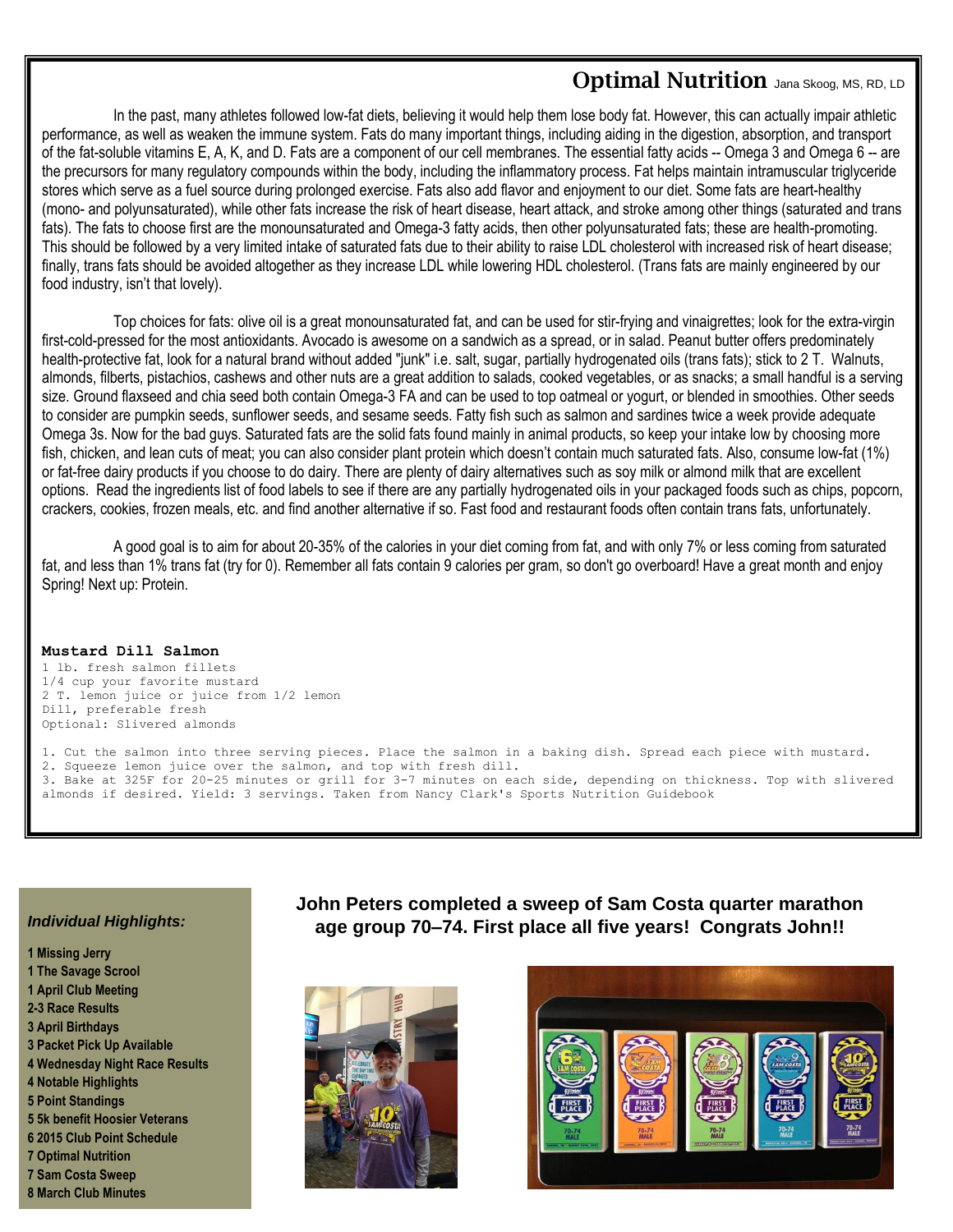### **Optimal Nutrition** Jana Skoog, MS, RD, LD

In the past, many athletes followed low-fat diets, believing it would help them lose body fat. However, this can actually impair athletic performance, as well as weaken the immune system. Fats do many important things, including aiding in the digestion, absorption, and transport of the fat-soluble vitamins E, A, K, and D. Fats are a component of our cell membranes. The essential fatty acids -- Omega 3 and Omega 6 -- are the precursors for many regulatory compounds within the body, including the inflammatory process. Fat helps maintain intramuscular triglyceride stores which serve as a fuel source during prolonged exercise. Fats also add flavor and enjoyment to our diet. Some fats are heart-healthy (mono- and polyunsaturated), while other fats increase the risk of heart disease, heart attack, and stroke among other things (saturated and trans fats). The fats to choose first are the monounsaturated and Omega-3 fatty acids, then other polyunsaturated fats; these are health-promoting. This should be followed by a very limited intake of saturated fats due to their ability to raise LDL cholesterol with increased risk of heart disease; finally, trans fats should be avoided altogether as they increase LDL while lowering HDL cholesterol. (Trans fats are mainly engineered by our food industry, isn't that lovely).

Top choices for fats: olive oil is a great monounsaturated fat, and can be used for stir-frying and vinaigrettes; look for the extra-virgin first-cold-pressed for the most antioxidants. Avocado is awesome on a sandwich as a spread, or in salad. Peanut butter offers predominately health-protective fat, look for a natural brand without added "junk" i.e. salt, sugar, partially hydrogenated oils (trans fats); stick to 2 T. Walnuts, almonds, filberts, pistachios, cashews and other nuts are a great addition to salads, cooked vegetables, or as snacks; a small handful is a serving size. Ground flaxseed and chia seed both contain Omega-3 FA and can be used to top oatmeal or yogurt, or blended in smoothies. Other seeds to consider are pumpkin seeds, sunflower seeds, and sesame seeds. Fatty fish such as salmon and sardines twice a week provide adequate Omega 3s. Now for the bad guys. Saturated fats are the solid fats found mainly in animal products, so keep your intake low by choosing more fish, chicken, and lean cuts of meat; you can also consider plant protein which doesn't contain much saturated fats. Also, consume low-fat (1%) or fat-free dairy products if you choose to do dairy. There are plenty of dairy alternatives such as soy milk or almond milk that are excellent options. Read the ingredients list of food labels to see if there are any partially hydrogenated oils in your packaged foods such as chips, popcorn, crackers, cookies, frozen meals, etc. and find another alternative if so. Fast food and restaurant foods often contain trans fats, unfortunately.

A good goal is to aim for about 20-35% of the calories in your diet coming from fat, and with only 7% or less coming from saturated fat, and less than 1% trans fat (try for 0). Remember all fats contain 9 calories per gram, so don't go overboard! Have a great month and enjoy Spring! Next up: Protein.

#### **Mustard Dill Salmon**

1 lb. fresh salmon fillets 1/4 cup your favorite mustard 2 T. lemon juice or juice from 1/2 lemon Dill, preferable fresh Optional: Slivered almonds

1. Cut the salmon into three serving pieces. Place the salmon in a baking dish. Spread each piece with mustard. 2. Squeeze lemon juice over the salmon, and top with fresh dill. 3. Bake at 325F for 20-25 minutes or grill for 3-7 minutes on each side, depending on thickness. Top with slivered almonds if desired. Yield: 3 servings. Taken from Nancy Clark's Sports Nutrition Guidebook

#### *Individual Highlights:*

**1 Missing Jerry 1 The Savage Scrool 1 April Club Meeting 2-3 Race Results 3 April Birthdays 3 Packet Pick Up Available 4 Wednesday Night Race Results 4 Notable Highlights 5 Point Standings 5 5k benefit Hoosier Veterans 6 2015 Club Point Schedule 7 Optimal Nutrition 7 Sam Costa Sweep 8 March Club Minutes**

#### **John Peters completed a sweep of Sam Costa quarter marathon age group 70–74. First place all five years! Congrats John!!**